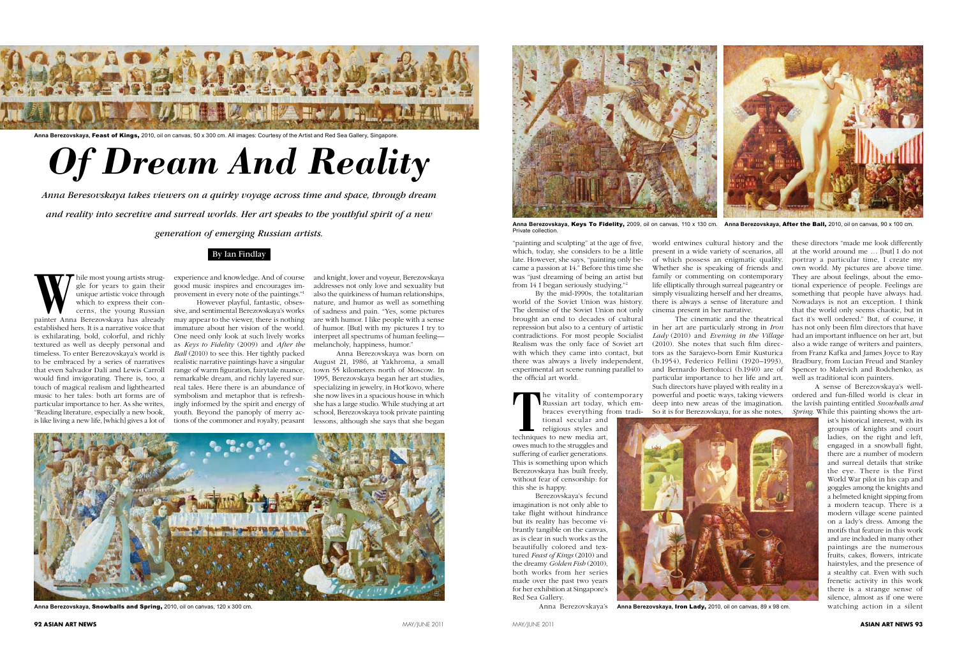## By Ian Findlay

## *Of Dream And Reality*

*Anna Beresovskaya takes viewers on a quirky voyage across time and space, through dream* 

*and reality into secretive and surreal worlds. Her art speaks to the youthful spirit of a new* 

*generation of emerging Russian artists.*

While most young artists struggle for years to gain their unique artistic voice through which to express their concerns, the young Russian painter Anna Berezovskaya has already gle for years to gain their unique artistic voice through which to express their concerns, the young Russian established hers. It is a narrative voice that is exhilarating, bold, colorful, and richly textured as well as deeply personal and timeless. To enter Berezovskaya's world is to be embraced by a series of narratives that even Salvador Dalí and Lewis Carroll would find invigorating. There is, too, a touch of magical realism and lighthearted music to her tales: both art forms are of particular importance to her. As she writes, "Reading literature, especially a new book, is like living a new life, [which] gives a lot of

experience and knowledge. And of course good music inspires and encourages improvement in every note of the paintings."1

However playful, fantastic, obsessive, and sentimental Berezovskaya's works may appear to the viewer, there is nothing immature about her vision of the world. One need only look at such lively works as *Keys to Fidelity* (2009) and *After the Ball* (2010) to see this. Her tightly packed realistic narrative paintings have a singular range of warm figuration, fairytale nuance, remarkable dream, and richly layered surreal tales. Here there is an abundance of symbolism and metaphor that is refreshingly informed by the spirit and energy of youth. Beyond the panoply of merry actions of the commoner and royalty, peasant

**THE VITALITY OF CONTRUSTS ASSESS**<br> **THE VITALITY CONTRUSTS AND PERSONAL PROPERTY AND REGULAR AND PERSONAL PROPERTY AND REGULAR PROPERTY AND REGULAR PROPERTY AND REGULAR PROPERTY AND REGULAR PROPERTY AND REGULAR PROPERTY A** Russian art today, which embraces everything from traditional secular and

and knight, lover and voyeur, Berezovskaya addresses not only love and sexuality but also the quirkiness of human relationships, nature, and humor as well as something of sadness and pain. "Yes, some pictures are with humor. I like people with a sense of humor. [But] with my pictures I try to interpret all spectrums of human feeling melancholy, happiness, humor."

Anna Berezovskaya was born on August 21, 1986, at Yakhroma, a small town 55 kilometers north of Moscow. In 1995, Berezovskaya began her art studies, specializing in jewelry, in Hot'kovo, where she now lives in a spacious house in which she has a large studio. While studying at art school, Berezovskaya took private painting lessons, although she says that she began

"painting and sculpting" at the age of five, which, today, she considers to be a little late. However, she says, "painting only became a passion at 14." Before this time she was "just dreaming of being an artist but from 14 I began seriously studying."2

By the mid-1990s, the totalitarian world of the Soviet Union was history. The demise of the Soviet Union not only brought an end to decades of cultural repression but also to a century of artistic contradictions. For most people Socialist Realism was the only face of Soviet art with which they came into contact, but there was always a lively independent, experimental art scene running parallel to the official art world.



Anna Berezovskaya, Keys To Fidelity, 2009, oil on canvas, 110 x 130 cm. Anna Berezovskaya, After the Ball, 2010, oil on canvas, 90 x 100 cm. Private collection.

religious styles and techniques to new media art, owes much to the struggles and suffering of earlier generations. This is something upon which Berezovskaya has built freely, without fear of censorship: for this she is happy.

Berezovskaya's fecund imagination is not only able to take flight without hindrance but its reality has become vibrantly tangible on the canvas, as is clear in such works as the beautifully colored and textured *Feast of Kings* (2010) and the dreamy *Golden Fish* (2010), both works from her series made over the past two years for her exhibition at Singapore's Red Sea Gallery.

Anna Berezovskaya's

world entwines cultural history and the present in a wide variety of scenarios, all of which possess an enigmatic quality. Whether she is speaking of friends and family or commenting on contemporary life elliptically through surreal pageantry or simply visualizing herself and her dreams, there is always a sense of literature and cinema present in her narrative.

The cinematic and the theatrical in her art are particularly strong in *Iron Lady* (2010) and *Evening in the Village* (2010). She notes that such film directors as the Sarajevo-born Emir Kusturica (b.1954), Federico Fellini (1920–1993), and Bernardo Bertolucci (b.1940) are of particular importance to her life and art. Such directors have played with reality in a powerful and poetic ways, taking viewers deep into new areas of the imagination. So it is for Berezovskaya, for as she notes,



these directors "made me look differently at the world around me … [but] I do not portray a particular time, I create my own world. My pictures are above time. They are about feelings, about the emotional experience of people. Feelings are something that people have always had. Nowadays is not an exception. I think that the world only seems chaotic, but in fact it's well ordered." But, of course, it has not only been film directors that have had an important influence on her art, but also a wide range of writers and painters, from Franz Kafka and James Joyce to Ray Bradbury, from Lucian Freud and Stanley Spencer to Malevich and Rodchenko, as well as traditional icon painters.

A sense of Berezovskaya's wellordered and fun-filled world is clear in the lavish painting entitled *Snowballs and Spring*. While this painting shows the art-



ist's historical interest, with its groups of knights and court ladies, on the right and left, engaged in a snowball fight, there are a number of modern and surreal details that strike the eye. There is the First World War pilot in his cap and goggles among the knights and a helmeted knight sipping from a modern teacup. There is a modern village scene painted on a lady's dress. Among the motifs that feature in this work and are included in many other paintings are the numerous fruits, cakes, flowers, intricate hairstyles, and the presence of a stealthy cat. Even with such frenetic activity in this work there is a strange sense of silence, almost as if one were watching action in a silent



**Anna Berezovskaya,** Snowballs and Spring, 2010, oil on canvas, 120 x 300 cm.



**Anna Berezovskaya,** Feast of Kings, 2010, oil on canvas, 50 x 300 cm. All images: Courtesy of the Artist and Red Sea Gallery, Singapore.